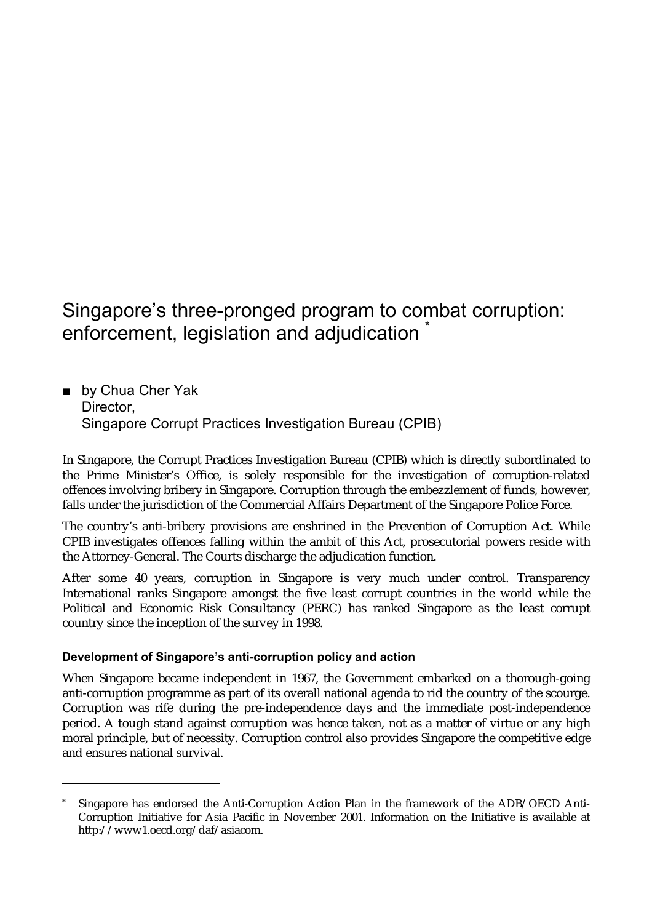# Singapore's three-pronged program to combat corruption: enforcement, legislation and adjudication \*

■ by Chua Cher Yak Director, Singapore Corrupt Practices Investigation Bureau (CPIB)

In Singapore, the Corrupt Practices Investigation Bureau (CPIB) which is directly subordinated to the Prime Minister's Office, is solely responsible for the investigation of corruption-related offences involving bribery in Singapore. Corruption through the embezzlement of funds, however, falls under the jurisdiction of the Commercial Affairs Department of the Singapore Police Force.

The country's anti-bribery provisions are enshrined in the Prevention of Corruption Act. While CPIB investigates offences falling within the ambit of this Act, prosecutorial powers reside with the Attorney-General. The Courts discharge the adjudication function.

After some 40 years, corruption in Singapore is very much under control. Transparency International ranks Singapore amongst the five least corrupt countries in the world while the Political and Economic Risk Consultancy (PERC) has ranked Singapore as the least corrupt country since the inception of the survey in 1998.

## **Development of Singapore's anti-corruption policy and action**

 $\overline{a}$ 

When Singapore became independent in 1967, the Government embarked on a thorough-going anti-corruption programme as part of its overall national agenda to rid the country of the scourge. Corruption was rife during the pre-independence days and the immediate post-independence period. A tough stand against corruption was hence taken, not as a matter of virtue or any high moral principle, but of necessity. Corruption control also provides Singapore the competitive edge and ensures national survival.

<sup>\*</sup> Singapore has endorsed the Anti-Corruption Action Plan in the framework of the ADB/OECD Anti-Corruption Initiative for Asia Pacific in November 2001. Information on the Initiative is available at http://www1.oecd.org/daf/asiacom.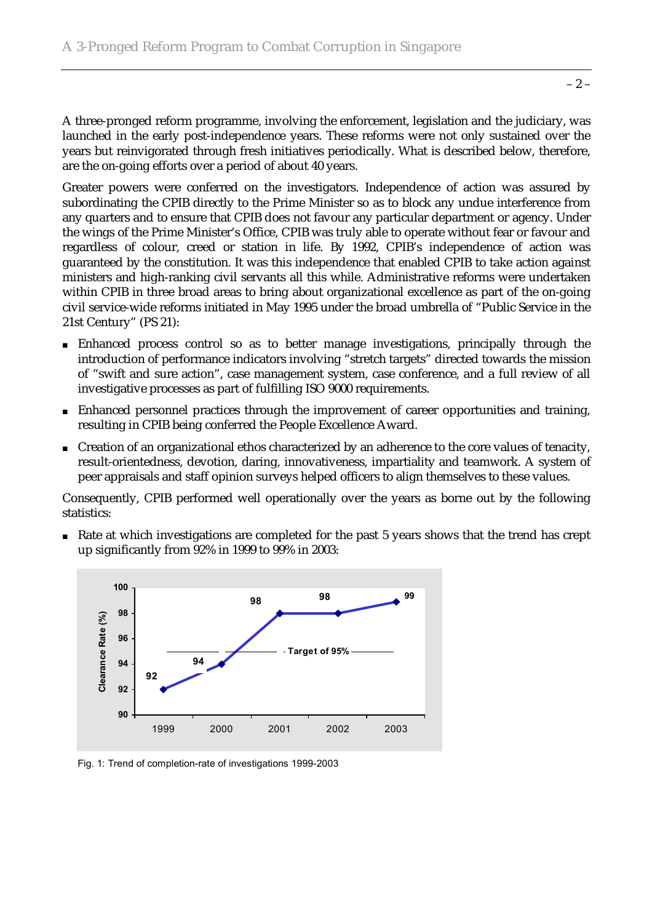A three-pronged reform programme, involving the enforcement, legislation and the judiciary, was launched in the early post-independence years. These reforms were not only sustained over the years but reinvigorated through fresh initiatives periodically. What is described below, therefore, are the on-going efforts over a period of about 40 years.

Greater powers were conferred on the investigators. Independence of action was assured by subordinating the CPIB directly to the Prime Minister so as to block any undue interference from any quarters and to ensure that CPIB does not favour any particular department or agency. Under the wings of the Prime Minister's Office, CPIB was truly able to operate without fear or favour and regardless of colour, creed or station in life. By 1992, CPIB's independence of action was guaranteed by the constitution. It was this independence that enabled CPIB to take action against ministers and high-ranking civil servants all this while. Administrative reforms were undertaken within CPIB in three broad areas to bring about organizational excellence as part of the on-going civil service-wide reforms initiated in May 1995 under the broad umbrella of "Public Service in the 21st Century" (PS 21):

- Enhanced process control so as to better manage investigations, principally through the introduction of performance indicators involving "stretch targets" directed towards the mission of "swift and sure action", case management system, case conference, and a full review of all investigative processes as part of fulfilling ISO 9000 requirements.
- Enhanced personnel practices through the improvement of career opportunities and training, resulting in CPIB being conferred the People Excellence Award.
- Creation of an organizational ethos characterized by an adherence to the core values of tenacity, result-orientedness, devotion, daring, innovativeness, impartiality and teamwork. A system of peer appraisals and staff opinion surveys helped officers to align themselves to these values.

Consequently, CPIB performed well operationally over the years as borne out by the following statistics:

■ Rate at which investigations are completed for the past 5 years shows that the trend has crept up significantly from 92% in 1999 to 99% in 2003:



Fig. 1: Trend of completion-rate of investigations 1999-2003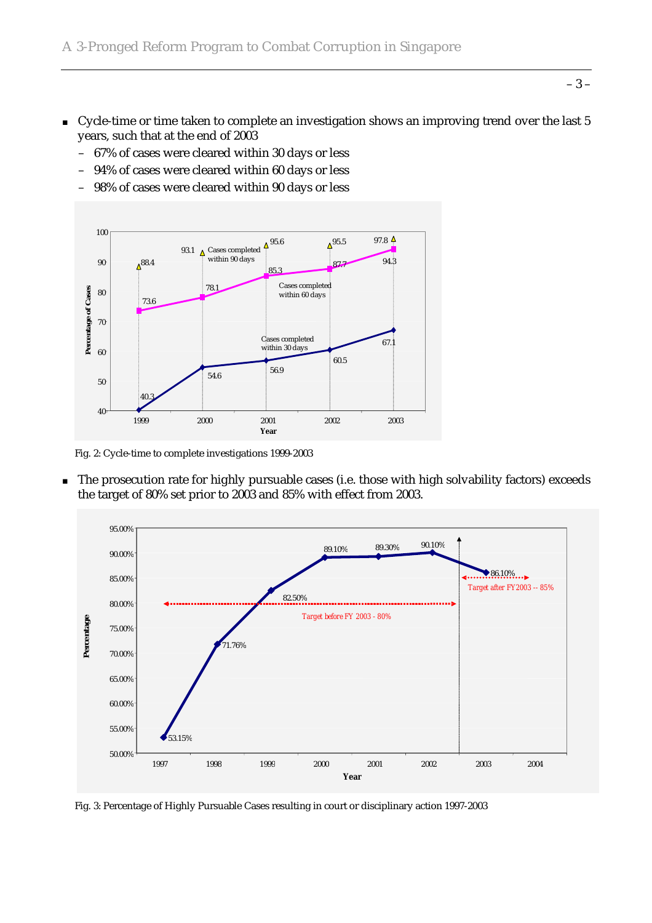- Cycle-time or time taken to complete an investigation shows an improving trend over the last 5 years, such that at the end of 2003
	- 67% of cases were cleared within 30 days or less
	- 94% of cases were cleared within 60 days or less
	- 98% of cases were cleared within 90 days or less



Fig. 2: Cycle-time to complete investigations 1999-2003

■ The prosecution rate for highly pursuable cases (i.e. those with high solvability factors) exceeds the target of 80% set prior to 2003 and 85% with effect from 2003.



Fig. 3: Percentage of Highly Pursuable Cases resulting in court or disciplinary action 1997-2003

– 3 –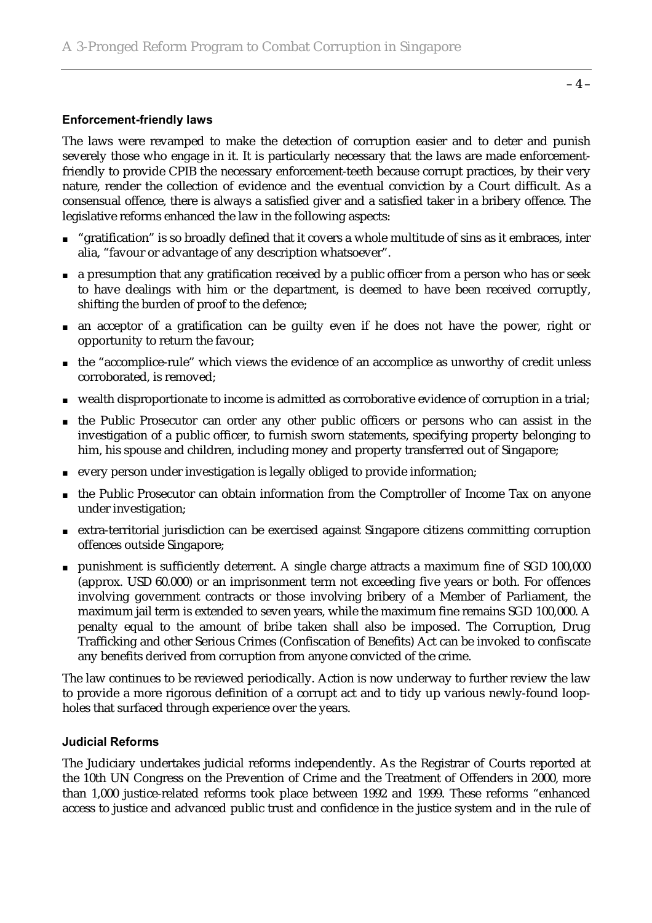#### **Enforcement-friendly laws**

The laws were revamped to make the detection of corruption easier and to deter and punish severely those who engage in it. It is particularly necessary that the laws are made enforcementfriendly to provide CPIB the necessary enforcement-teeth because corrupt practices, by their very nature, render the collection of evidence and the eventual conviction by a Court difficult. As a consensual offence, there is always a satisfied giver and a satisfied taker in a bribery offence. The legislative reforms enhanced the law in the following aspects:

- "gratification" is so broadly defined that it covers a whole multitude of sins as it embraces, inter alia, "favour or advantage of any description whatsoever".
- a presumption that any gratification received by a public officer from a person who has or seek to have dealings with him or the department, is deemed to have been received corruptly, shifting the burden of proof to the defence;
- an acceptor of a gratification can be guilty even if he does not have the power, right or opportunity to return the favour;
- the "accomplice-rule" which views the evidence of an accomplice as unworthy of credit unless corroborated, is removed;
- wealth disproportionate to income is admitted as corroborative evidence of corruption in a trial;
- the Public Prosecutor can order any other public officers or persons who can assist in the investigation of a public officer, to furnish sworn statements, specifying property belonging to him, his spouse and children, including money and property transferred out of Singapore;
- every person under investigation is legally obliged to provide information;
- the Public Prosecutor can obtain information from the Comptroller of Income Tax on anyone under investigation;
- extra-territorial jurisdiction can be exercised against Singapore citizens committing corruption offences outside Singapore;
- punishment is sufficiently deterrent. A single charge attracts a maximum fine of SGD 100,000 (approx. USD 60.000) or an imprisonment term not exceeding five years or both. For offences involving government contracts or those involving bribery of a Member of Parliament, the maximum jail term is extended to seven years, while the maximum fine remains SGD 100,000. A penalty equal to the amount of bribe taken shall also be imposed. The Corruption, Drug Trafficking and other Serious Crimes (Confiscation of Benefits) Act can be invoked to confiscate any benefits derived from corruption from anyone convicted of the crime.

The law continues to be reviewed periodically. Action is now underway to further review the law to provide a more rigorous definition of a corrupt act and to tidy up various newly-found loopholes that surfaced through experience over the years.

#### **Judicial Reforms**

The Judiciary undertakes judicial reforms independently. As the Registrar of Courts reported at the 10th UN Congress on the Prevention of Crime and the Treatment of Offenders in 2000, more than 1,000 justice-related reforms took place between 1992 and 1999. These reforms "enhanced access to justice and advanced public trust and confidence in the justice system and in the rule of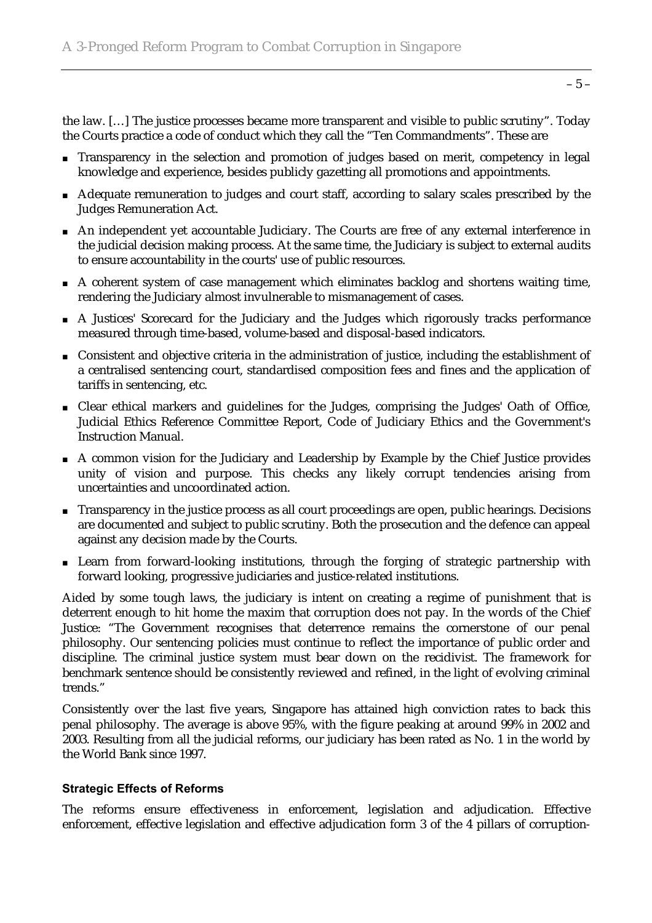the law. […] The justice processes became more transparent and visible to public scrutiny". Today the Courts practice a code of conduct which they call the "Ten Commandments". These are

- Transparency in the selection and promotion of judges based on merit, competency in legal knowledge and experience, besides publicly gazetting all promotions and appointments.
- Adequate remuneration to judges and court staff, according to salary scales prescribed by the Judges Remuneration Act.
- An independent yet accountable Judiciary. The Courts are free of any external interference in the judicial decision making process. At the same time, the Judiciary is subject to external audits to ensure accountability in the courts' use of public resources.
- A coherent system of case management which eliminates backlog and shortens waiting time, rendering the Judiciary almost invulnerable to mismanagement of cases.
- A Justices' Scorecard for the Judiciary and the Judges which rigorously tracks performance measured through time-based, volume-based and disposal-based indicators.
- Consistent and objective criteria in the administration of justice, including the establishment of a centralised sentencing court, standardised composition fees and fines and the application of tariffs in sentencing, etc.
- Clear ethical markers and guidelines for the Judges, comprising the Judges' Oath of Office, Judicial Ethics Reference Committee Report, Code of Judiciary Ethics and the Government's Instruction Manual.
- A common vision for the Judiciary and Leadership by Example by the Chief Justice provides unity of vision and purpose. This checks any likely corrupt tendencies arising from uncertainties and uncoordinated action.
- Transparency in the justice process as all court proceedings are open, public hearings. Decisions are documented and subject to public scrutiny. Both the prosecution and the defence can appeal against any decision made by the Courts.
- Learn from forward-looking institutions, through the forging of strategic partnership with forward looking, progressive judiciaries and justice-related institutions.

Aided by some tough laws, the judiciary is intent on creating a regime of punishment that is deterrent enough to hit home the maxim that corruption does not pay. In the words of the Chief Justice: "The Government recognises that deterrence remains the cornerstone of our penal philosophy. Our sentencing policies must continue to reflect the importance of public order and discipline. The criminal justice system must bear down on the recidivist. The framework for benchmark sentence should be consistently reviewed and refined, in the light of evolving criminal trends."

Consistently over the last five years, Singapore has attained high conviction rates to back this penal philosophy. The average is above 95%, with the figure peaking at around 99% in 2002 and 2003. Resulting from all the judicial reforms, our judiciary has been rated as No. 1 in the world by the World Bank since 1997.

#### **Strategic Effects of Reforms**

The reforms ensure effectiveness in enforcement, legislation and adjudication. Effective enforcement, effective legislation and effective adjudication form 3 of the 4 pillars of corruption-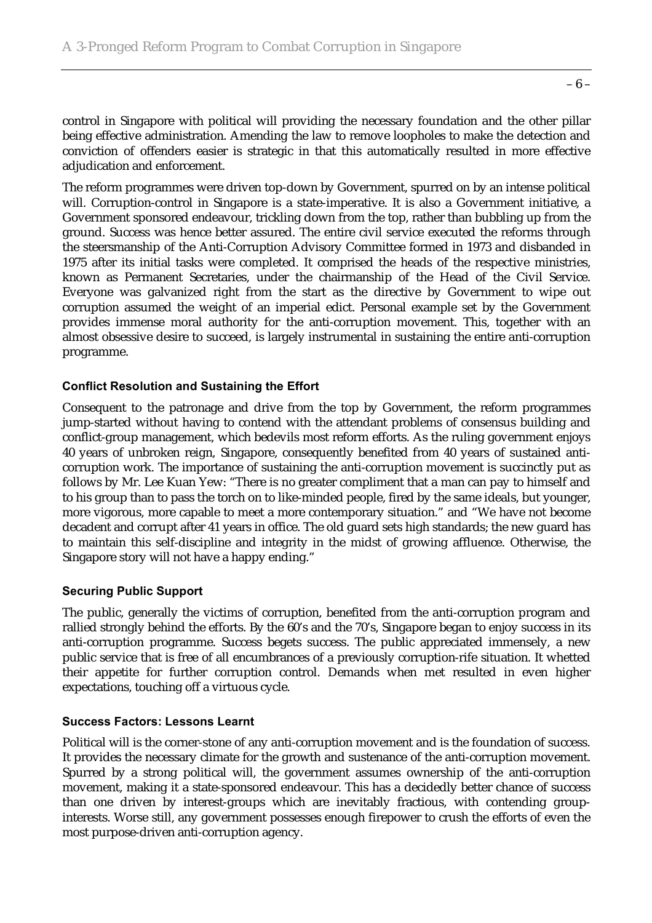– 6 –

control in Singapore with political will providing the necessary foundation and the other pillar being effective administration. Amending the law to remove loopholes to make the detection and conviction of offenders easier is strategic in that this automatically resulted in more effective adjudication and enforcement.

The reform programmes were driven top-down by Government, spurred on by an intense political will. Corruption-control in Singapore is a state-imperative. It is also a Government initiative, a Government sponsored endeavour, trickling down from the top, rather than bubbling up from the ground. Success was hence better assured. The entire civil service executed the reforms through the steersmanship of the Anti-Corruption Advisory Committee formed in 1973 and disbanded in 1975 after its initial tasks were completed. It comprised the heads of the respective ministries, known as Permanent Secretaries, under the chairmanship of the Head of the Civil Service. Everyone was galvanized right from the start as the directive by Government to wipe out corruption assumed the weight of an imperial edict. Personal example set by the Government provides immense moral authority for the anti-corruption movement. This, together with an almost obsessive desire to succeed, is largely instrumental in sustaining the entire anti-corruption programme.

### **Conflict Resolution and Sustaining the Effort**

Consequent to the patronage and drive from the top by Government, the reform programmes jump-started without having to contend with the attendant problems of consensus building and conflict-group management, which bedevils most reform efforts. As the ruling government enjoys 40 years of unbroken reign, Singapore, consequently benefited from 40 years of sustained anticorruption work. The importance of sustaining the anti-corruption movement is succinctly put as follows by Mr. Lee Kuan Yew: "There is no greater compliment that a man can pay to himself and to his group than to pass the torch on to like-minded people, fired by the same ideals, but younger, more vigorous, more capable to meet a more contemporary situation." and "We have not become decadent and corrupt after 41 years in office. The old guard sets high standards; the new guard has to maintain this self-discipline and integrity in the midst of growing affluence. Otherwise, the Singapore story will not have a happy ending."

#### **Securing Public Support**

The public, generally the victims of corruption, benefited from the anti-corruption program and rallied strongly behind the efforts. By the 60's and the 70's, Singapore began to enjoy success in its anti-corruption programme. Success begets success. The public appreciated immensely, a new public service that is free of all encumbrances of a previously corruption-rife situation. It whetted their appetite for further corruption control. Demands when met resulted in even higher expectations, touching off a virtuous cycle.

#### **Success Factors: Lessons Learnt**

Political will is the corner-stone of any anti-corruption movement and is the foundation of success. It provides the necessary climate for the growth and sustenance of the anti-corruption movement. Spurred by a strong political will, the government assumes ownership of the anti-corruption movement, making it a state-sponsored endeavour. This has a decidedly better chance of success than one driven by interest-groups which are inevitably fractious, with contending groupinterests. Worse still, any government possesses enough firepower to crush the efforts of even the most purpose-driven anti-corruption agency.